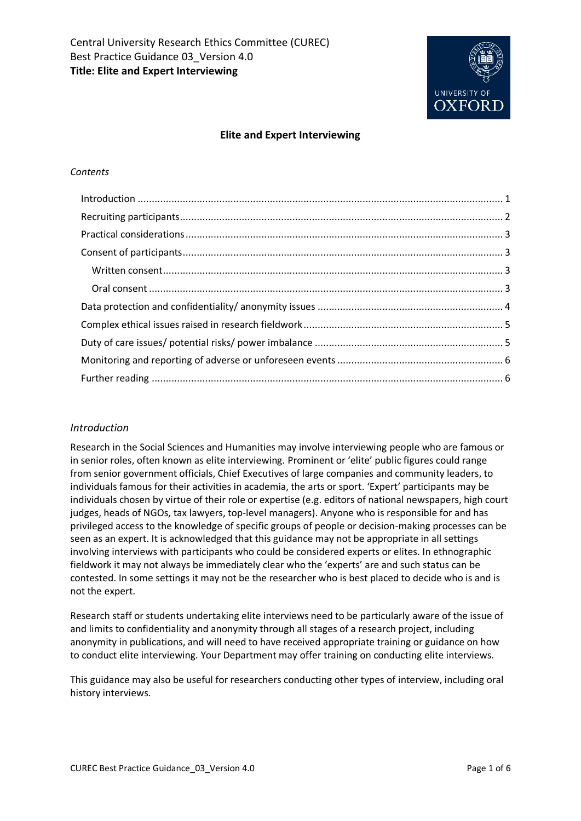

#### **Elite and Expert Interviewing**

#### *Contents*

#### <span id="page-0-0"></span>*Introduction*

Research in the Social Sciences and Humanities may involve interviewing people who are famous or in senior roles, often known as elite interviewing. Prominent or 'elite' public figures could range from senior government officials, Chief Executives of large companies and community leaders, to individuals famous for their activities in academia, the arts or sport. 'Expert' participants may be individuals chosen by virtue of their role or expertise (e.g. editors of national newspapers, high court judges, heads of NGOs, tax lawyers, top-level managers). Anyone who is responsible for and has privileged access to the knowledge of specific groups of people or decision-making processes can be seen as an expert. It is acknowledged that this guidance may not be appropriate in all settings involving interviews with participants who could be considered experts or elites. In ethnographic fieldwork it may not always be immediately clear who the 'experts' are and such status can be contested. In some settings it may not be the researcher who is best placed to decide who is and is not the expert.

Research staff or students undertaking elite interviews need to be particularly aware of the issue of and limits to confidentiality and anonymity through all stages of a research project, including anonymity in publications, and will need to have received appropriate training or guidance on how to conduct elite interviewing. Your Department may offer training on conducting elite interviews.

This guidance may also be useful for researchers conducting other types of interview, including oral history interviews.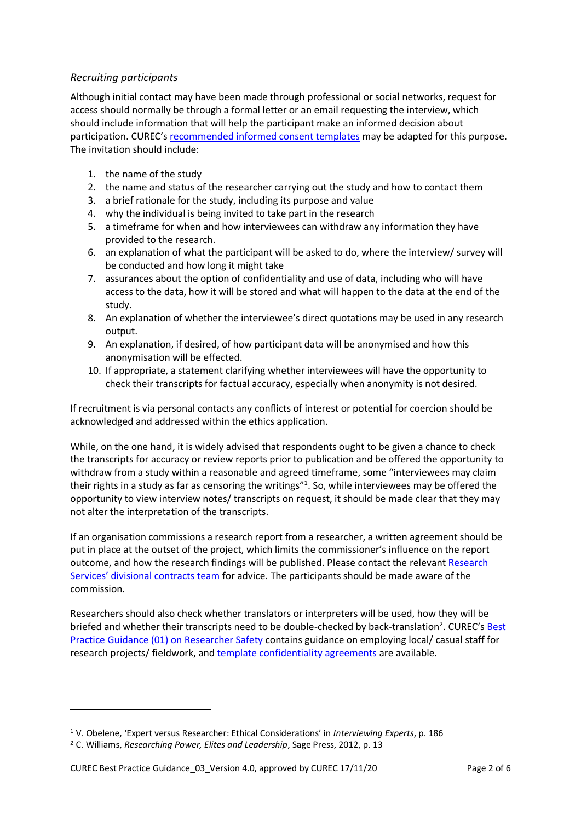# <span id="page-1-0"></span>*Recruiting participants*

Although initial contact may have been made through professional or social networks, request for access should normally be through a formal letter or an email requesting the interview, which should include information that will help the participant make an informed decision about participation. CUREC's [recommended informed consent templates](http://researchsupport.admin.ox.ac.uk/governance/ethics/resources/consent) may be adapted for this purpose. The invitation should include:

- 1. the name of the study
- 2. the name and status of the researcher carrying out the study and how to contact them
- 3. a brief rationale for the study, including its purpose and value
- 4. why the individual is being invited to take part in the research
- 5. a timeframe for when and how interviewees can withdraw any information they have provided to the research.
- 6. an explanation of what the participant will be asked to do, where the interview/ survey will be conducted and how long it might take
- 7. assurances about the option of confidentiality and use of data, including who will have access to the data, how it will be stored and what will happen to the data at the end of the study.
- 8. An explanation of whether the interviewee's direct quotations may be used in any research output.
- 9. An explanation, if desired, of how participant data will be anonymised and how this anonymisation will be effected.
- 10. If appropriate, a statement clarifying whether interviewees will have the opportunity to check their transcripts for factual accuracy, especially when anonymity is not desired.

If recruitment is via personal contacts any conflicts of interest or potential for coercion should be acknowledged and addressed within the ethics application.

While, on the one hand, it is widely advised that respondents ought to be given a chance to check the transcripts for accuracy or review reports prior to publication and be offered the opportunity to withdraw from a study within a reasonable and agreed timeframe, some "interviewees may claim their rights in a study as far as censoring the writings"<sup>1</sup>. So, while interviewees may be offered the opportunity to view interview notes/ transcripts on request, it should be made clear that they may not alter the interpretation of the transcripts.

If an organisation commissions a research report from a researcher, a written agreement should be put in place at the outset of the project, which limits the commissioner's influence on the report outcome, and how the research findings will be published. Please contact the relevan[t Research](http://researchsupport.admin.ox.ac.uk/contacts#tab-1-1)  [Services' divisional contracts team](http://researchsupport.admin.ox.ac.uk/contacts#tab-1-1) for advice. The participants should be made aware of the commission.

Researchers should also check whether translators or interpreters will be used, how they will be briefed and whether their transcripts need to be double-checked by back-translation<sup>2</sup>. CUREC's **Best** [Practice Guidance \(01\) on Researcher Safety](https://researchsupport.admin.ox.ac.uk/governance/ethics/resources/bpg) contains guidance on employing local/ casual staff for research projects/ fieldwork, an[d template confidentiality agreements](https://researchsupport.admin.ox.ac.uk/governance/ethics/resources/consent#collapse1670841) are available.

1

<sup>1</sup> V. Obelene, 'Expert versus Researcher: Ethical Considerations' in *Interviewing Experts*, p. 186

<sup>2</sup> C. Williams, *Researching Power, Elites and Leadership*, Sage Press, 2012, p. 13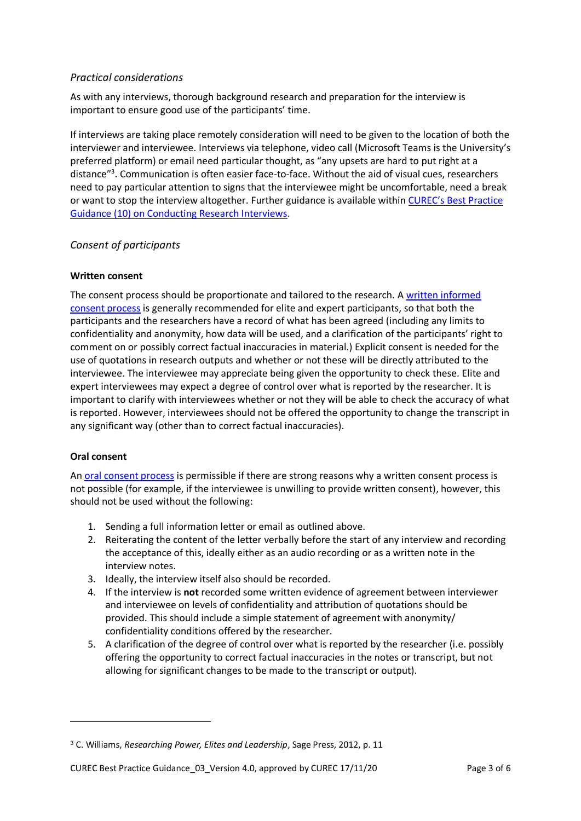# <span id="page-2-0"></span>*Practical considerations*

As with any interviews, thorough background research and preparation for the interview is important to ensure good use of the participants' time.

If interviews are taking place remotely consideration will need to be given to the location of both the interviewer and interviewee. Interviews via telephone, video call (Microsoft Teams is the University's preferred platform) or email need particular thought, as "any upsets are hard to put right at a distance"<sup>3</sup>. Communication is often easier face-to-face. Without the aid of visual cues, researchers need to pay particular attention to signs that the interviewee might be uncomfortable, need a break or want to stop the interview altogether. Further guidance is available within CUREC's [Best Practice](https://researchsupport.admin.ox.ac.uk/governance/ethics/resources/bpg)  [Guidance \(10\) on Conducting Research Interviews.](https://researchsupport.admin.ox.ac.uk/governance/ethics/resources/bpg)

# <span id="page-2-1"></span>*Consent of participants*

### <span id="page-2-2"></span>**Written consent**

The consent process should be proportionate and tailored to the research. A [written informed](https://researchsupport.admin.ox.ac.uk/governance/ethics/resources/consent)  [consent process](https://researchsupport.admin.ox.ac.uk/governance/ethics/resources/consent) is generally recommended for elite and expert participants, so that both the participants and the researchers have a record of what has been agreed (including any limits to confidentiality and anonymity, how data will be used, and a clarification of the participants' right to comment on or possibly correct factual inaccuracies in material.) Explicit consent is needed for the use of quotations in research outputs and whether or not these will be directly attributed to the interviewee. The interviewee may appreciate being given the opportunity to check these. Elite and expert interviewees may expect a degree of control over what is reported by the researcher. It is important to clarify with interviewees whether or not they will be able to check the accuracy of what is reported. However, interviewees should not be offered the opportunity to change the transcript in any significant way (other than to correct factual inaccuracies).

## <span id="page-2-3"></span>**Oral consent**

**.** 

A[n oral consent process](https://researchsupport.admin.ox.ac.uk/governance/ethics/resources/consent) is permissible if there are strong reasons why a written consent process is not possible (for example, if the interviewee is unwilling to provide written consent), however, this should not be used without the following:

- 1. Sending a full information letter or email as outlined above.
- 2. Reiterating the content of the letter verbally before the start of any interview and recording the acceptance of this, ideally either as an audio recording or as a written note in the interview notes.
- 3. Ideally, the interview itself also should be recorded.
- 4. If the interview is **not** recorded some written evidence of agreement between interviewer and interviewee on levels of confidentiality and attribution of quotations should be provided. This should include a simple statement of agreement with anonymity/ confidentiality conditions offered by the researcher.
- 5. A clarification of the degree of control over what is reported by the researcher (i.e. possibly offering the opportunity to correct factual inaccuracies in the notes or transcript, but not allowing for significant changes to be made to the transcript or output).

<sup>3</sup> C. Williams, *Researching Power, Elites and Leadership*, Sage Press, 2012, p. 11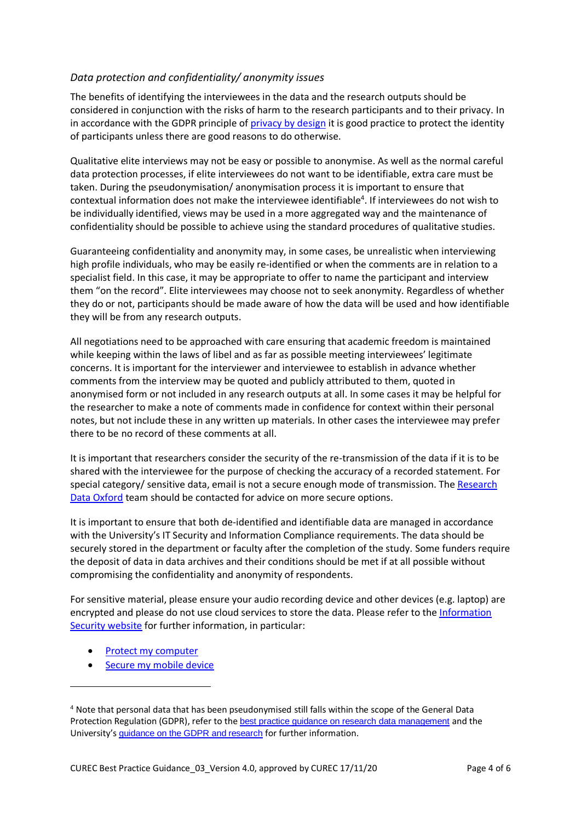# <span id="page-3-0"></span>*Data protection and confidentiality/ anonymity issues*

The benefits of identifying the interviewees in the data and the research outputs should be considered in conjunction with the risks of harm to the research participants and to their privacy. In in accordance with the GDPR principle of [privacy by design](https://compliance.admin.ox.ac.uk/privacy-by-design) it is good practice to protect the identity of participants unless there are good reasons to do otherwise.

Qualitative elite interviews may not be easy or possible to anonymise. As well as the normal careful data protection processes, if elite interviewees do not want to be identifiable, extra care must be taken. During the pseudonymisation/ anonymisation process it is important to ensure that contextual information does not make the interviewee identifiable<sup>4</sup>. If interviewees do not wish to be individually identified, views may be used in a more aggregated way and the maintenance of confidentiality should be possible to achieve using the standard procedures of qualitative studies.

Guaranteeing confidentiality and anonymity may, in some cases, be unrealistic when interviewing high profile individuals, who may be easily re-identified or when the comments are in relation to a specialist field. In this case, it may be appropriate to offer to name the participant and interview them "on the record". Elite interviewees may choose not to seek anonymity. Regardless of whether they do or not, participants should be made aware of how the data will be used and how identifiable they will be from any research outputs.

All negotiations need to be approached with care ensuring that academic freedom is maintained while keeping within the laws of libel and as far as possible meeting interviewees' legitimate concerns. It is important for the interviewer and interviewee to establish in advance whether comments from the interview may be quoted and publicly attributed to them, quoted in anonymised form or not included in any research outputs at all. In some cases it may be helpful for the researcher to make a note of comments made in confidence for context within their personal notes, but not include these in any written up materials. In other cases the interviewee may prefer there to be no record of these comments at all.

It is important that researchers consider the security of the re-transmission of the data if it is to be shared with the interviewee for the purpose of checking the accuracy of a recorded statement. For special category/ sensitive data, email is not a secure enough mode of transmission. The Research [Data Oxford](mailto:researchdata@ox.ac.uk) team should be contacted for advice on more secure options.

It is important to ensure that both de-identified and identifiable data are managed in accordance with the University's IT Security and Information Compliance requirements. The data should be securely stored in the department or faculty after the completion of the study. Some funders require the deposit of data in data archives and their conditions should be met if at all possible without compromising the confidentiality and anonymity of respondents.

For sensitive material, please ensure your audio recording device and other devices (e.g. laptop) are encrypted and please do not use cloud services to store the data. Please refer to the [Information](https://www.infosec.ox.ac.uk/)  [Security website](https://www.infosec.ox.ac.uk/) for further information, in particular:

• [Protect my computer](https://www.infosec.ox.ac.uk/protect-my-computer)

1

• [Secure my mobile device](https://www.infosec.ox.ac.uk/secure-my-mobile-devices)

<sup>4</sup> Note that personal data that has been pseudonymised still falls within the scope of the General Data Protection Regulation (GDPR), refer to the [best practice guidance on research data management](https://researchsupport.admin.ox.ac.uk/governance/ethics/resources/bpg) and the University's [guidance on the GDPR and research](https://researchsupport.admin.ox.ac.uk/policy/data) for further information.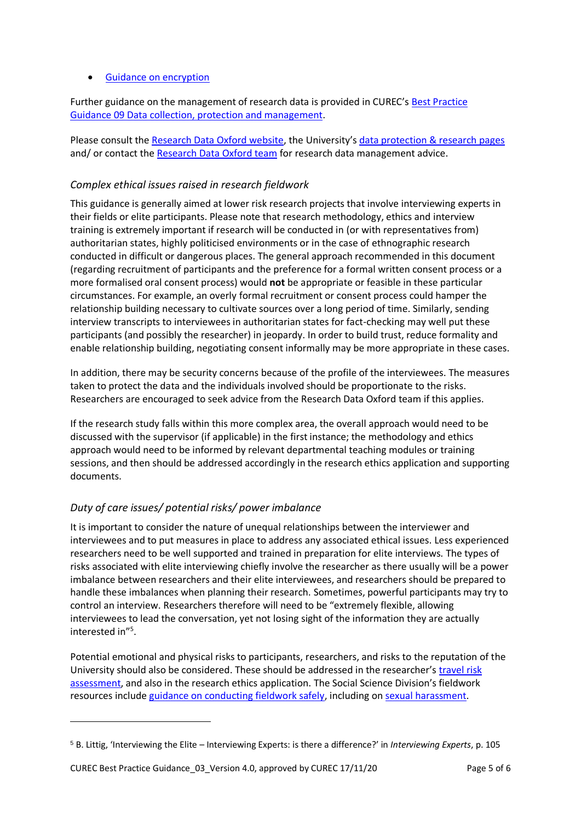### **•** [Guidance on encryption](https://help.it.ox.ac.uk/security/encryption/wde)

Further guidance on the management of research data is provided in CUREC's [Best Practice](https://researchsupport.admin.ox.ac.uk/files/bpg09datacollectionandmanagementpdf)  [Guidance 09 Data collection, protection and management.](https://researchsupport.admin.ox.ac.uk/files/bpg09datacollectionandmanagementpdf)

Please consult th[e Research Data Oxford website,](http://researchdata.ox.ac.uk/) the University's [data protection &](https://researchsupport.admin.ox.ac.uk/policy/data) research pages and/ or contact the [Research Data Oxford](mailto:researchdata@ox.ac.uk) team for research data management advice.

# <span id="page-4-0"></span>*Complex ethical issues raised in research fieldwork*

This guidance is generally aimed at lower risk research projects that involve interviewing experts in their fields or elite participants. Please note that research methodology, ethics and interview training is extremely important if research will be conducted in (or with representatives from) authoritarian states, highly politicised environments or in the case of ethnographic research conducted in difficult or dangerous places. The general approach recommended in this document (regarding recruitment of participants and the preference for a formal written consent process or a more formalised oral consent process) would **not** be appropriate or feasible in these particular circumstances. For example, an overly formal recruitment or consent process could hamper the relationship building necessary to cultivate sources over a long period of time. Similarly, sending interview transcripts to interviewees in authoritarian states for fact-checking may well put these participants (and possibly the researcher) in jeopardy. In order to build trust, reduce formality and enable relationship building, negotiating consent informally may be more appropriate in these cases.

In addition, there may be security concerns because of the profile of the interviewees. The measures taken to protect the data and the individuals involved should be proportionate to the risks. Researchers are encouraged to seek advice from the Research Data Oxford team if this applies.

If the research study falls within this more complex area, the overall approach would need to be discussed with the supervisor (if applicable) in the first instance; the methodology and ethics approach would need to be informed by relevant departmental teaching modules or training sessions, and then should be addressed accordingly in the research ethics application and supporting documents.

# <span id="page-4-1"></span>*Duty of care issues/ potential risks/ power imbalance*

It is important to consider the nature of unequal relationships between the interviewer and interviewees and to put measures in place to address any associated ethical issues. Less experienced researchers need to be well supported and trained in preparation for elite interviews. The types of risks associated with elite interviewing chiefly involve the researcher as there usually will be a power imbalance between researchers and their elite interviewees, and researchers should be prepared to handle these imbalances when planning their research. Sometimes, powerful participants may try to control an interview. Researchers therefore will need to be "extremely flexible, allowing interviewees to lead the conversation, yet not losing sight of the information they are actually interested in"<sup>5</sup> .

Potential emotional and physical risks to participants, researchers, and risks to the reputation of the University should also be considered. These should be addressed in the researcher's [travel risk](https://safety.admin.ox.ac.uk/search/site/travel)  [assessment,](https://safety.admin.ox.ac.uk/search/site/travel) and also in the research ethics application. The Social Science Division's fieldwork resources include [guidance on conducting fieldwork safely,](https://socsci.web.ox.ac.uk/research-fieldwork) including on [sexual harassment.](https://www.anthro.ox.ac.uk/jasoonline-2011#collapse392631)

**.** 

<sup>5</sup> B. Littig, 'Interviewing the Elite – Interviewing Experts: is there a difference?' in *Interviewing Experts*, p. 105